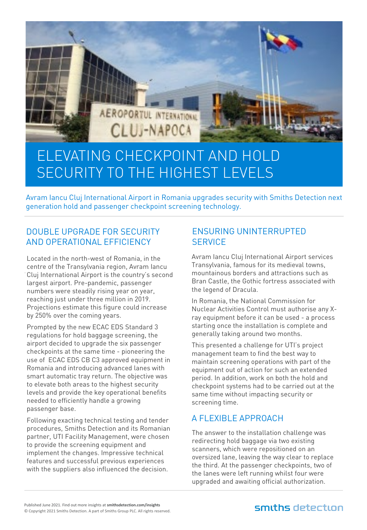

# ELEVATING CHECKPOINT AND HOLD SECURITY TO THE HIGHEST LEVELS

Avram Iancu Cluj International Airport in Romania upgrades security with Smiths Detection next generation hold and passenger checkpoint screening technology.

# DOUBLE UPGRADE FOR SECURITY AND OPERATIONAL EFFICIENCY

Located in the north-west of Romania, in the centre of the Transylvania region, Avram Iancu Cluj International Airport is the country's second largest airport. Pre-pandemic, passenger numbers were steadily rising year on year, reaching just under three million in 2019. Projections estimate this figure could increase by 250% over the coming years.

Prompted by the new ECAC EDS Standard 3 regulations for hold baggage screening, the airport decided to upgrade the six passenger checkpoints at the same time - pioneering the use of ECAC EDS CB C3 approved equipment in Romania and introducing advanced lanes with smart automatic tray return. The objective was to elevate both areas to the highest security levels and provide the key operational benefits needed to efficiently handle a growing passenger base.

Following exacting technical testing and tender procedures, Smiths Detection and its Romanian partner, UTI Facility Management, were chosen to provide the screening equipment and implement the changes. Impressive technical features and successful previous experiences with the suppliers also influenced the decision.

## ENSURING UNINTERRUPTED **SERVICE**

Avram Iancu Cluj International Airport services Transylvania, famous for its medieval towns, mountainous borders and attractions such as Bran Castle, the Gothic fortress associated with the legend of Dracula.

In Romania, the National Commission for Nuclear Activities Control must authorise any Xray equipment before it can be used - a process starting once the installation is complete and generally taking around two months.

This presented a challenge for UTI's project management team to find the best way to maintain screening operations with part of the equipment out of action for such an extended period. In addition, work on both the hold and checkpoint systems had to be carried out at the same time without impacting security or screening time.

# A FLEXIBLE APPROACH

The answer to the installation challenge was redirecting hold baggage via two existing scanners, which were repositioned on an oversized lane, leaving the way clear to replace the third. At the passenger checkpoints, two of the lanes were left running whilst four were upgraded and awaiting official authorization.

# smiths detection